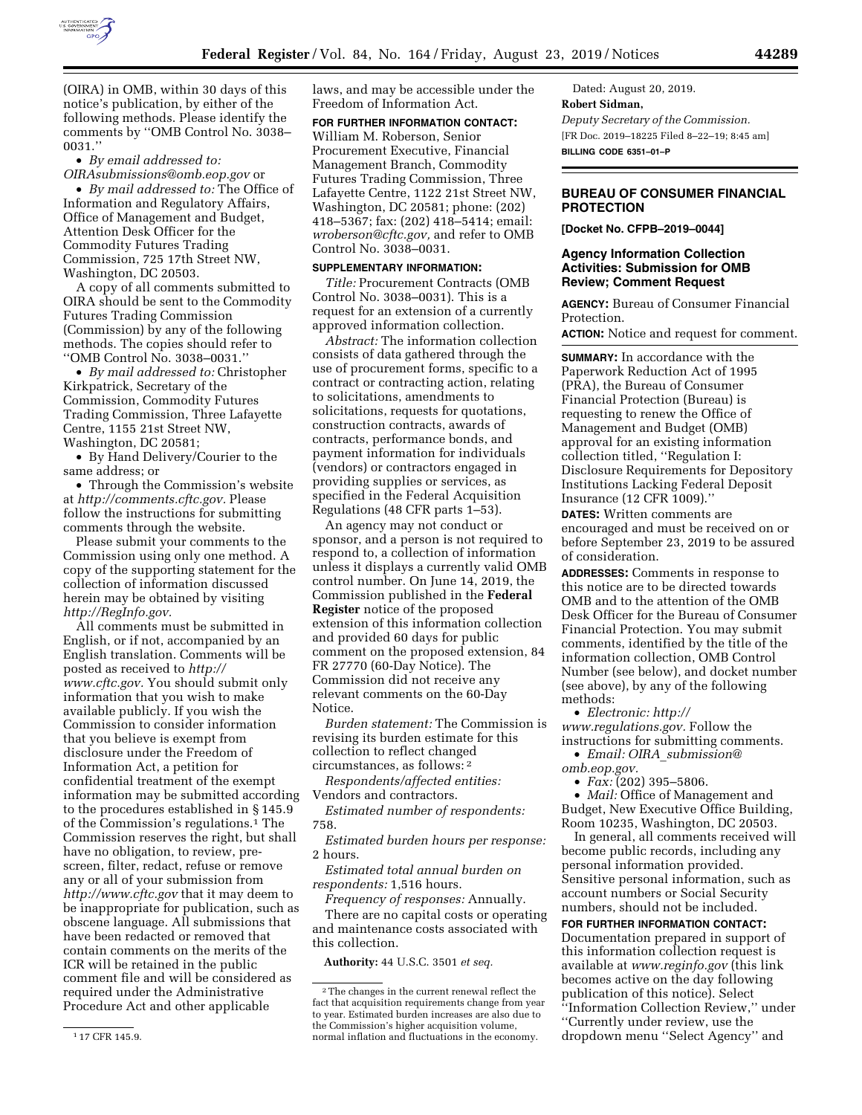

(OIRA) in OMB, within 30 days of this notice's publication, by either of the following methods. Please identify the comments by ''OMB Control No. 3038– 0031.''

# • *By email addressed to: [OIRAsubmissions@omb.eop.gov](mailto:OIRAsubmissions@omb.eop.gov)* or

• *By mail addressed to:* The Office of Information and Regulatory Affairs, Office of Management and Budget, Attention Desk Officer for the Commodity Futures Trading Commission, 725 17th Street NW, Washington, DC 20503.

A copy of all comments submitted to OIRA should be sent to the Commodity Futures Trading Commission (Commission) by any of the following methods. The copies should refer to ''OMB Control No. 3038–0031.''

• *By mail addressed to:* Christopher Kirkpatrick, Secretary of the Commission, Commodity Futures Trading Commission, Three Lafayette Centre, 1155 21st Street NW, Washington, DC 20581;

• By Hand Delivery/Courier to the same address; or

• Through the Commission's website at *[http://comments.cftc.gov.](http://comments.cftc.gov)* Please follow the instructions for submitting comments through the website.

Please submit your comments to the Commission using only one method. A copy of the supporting statement for the collection of information discussed herein may be obtained by visiting *[http://RegInfo.gov.](http://RegInfo.gov)* 

All comments must be submitted in English, or if not, accompanied by an English translation. Comments will be posted as received to *[http://](http://www.cftc.gov) [www.cftc.gov.](http://www.cftc.gov)* You should submit only information that you wish to make available publicly. If you wish the Commission to consider information that you believe is exempt from disclosure under the Freedom of Information Act, a petition for confidential treatment of the exempt information may be submitted according to the procedures established in § 145.9 of the Commission's regulations.1 The Commission reserves the right, but shall have no obligation, to review, prescreen, filter, redact, refuse or remove any or all of your submission from *<http://www.cftc.gov>* that it may deem to be inappropriate for publication, such as obscene language. All submissions that have been redacted or removed that contain comments on the merits of the ICR will be retained in the public comment file and will be considered as required under the Administrative Procedure Act and other applicable

laws, and may be accessible under the Freedom of Information Act.

# **FOR FURTHER INFORMATION CONTACT:**

William M. Roberson, Senior Procurement Executive, Financial Management Branch, Commodity Futures Trading Commission, Three Lafayette Centre, 1122 21st Street NW, Washington, DC 20581; phone: (202) 418–5367; fax: (202) 418–5414; email: *[wroberson@cftc.gov,](mailto:wroberson@cftc.gov)* and refer to OMB Control No. 3038–0031.

# **SUPPLEMENTARY INFORMATION:**

*Title:* Procurement Contracts (OMB Control No. 3038–0031). This is a request for an extension of a currently approved information collection.

*Abstract:* The information collection consists of data gathered through the use of procurement forms, specific to a contract or contracting action, relating to solicitations, amendments to solicitations, requests for quotations, construction contracts, awards of contracts, performance bonds, and payment information for individuals (vendors) or contractors engaged in providing supplies or services, as specified in the Federal Acquisition Regulations (48 CFR parts 1–53).

An agency may not conduct or sponsor, and a person is not required to respond to, a collection of information unless it displays a currently valid OMB control number. On June 14, 2019, the Commission published in the **Federal Register** notice of the proposed extension of this information collection and provided 60 days for public comment on the proposed extension, 84 FR 27770 (60-Day Notice). The Commission did not receive any relevant comments on the 60-Day Notice.

*Burden statement:* The Commission is revising its burden estimate for this collection to reflect changed circumstances, as follows: 2

*Respondents/affected entities:*  Vendors and contractors.

*Estimated number of respondents:*  758.

*Estimated burden hours per response:*  2 hours.

*Estimated total annual burden on respondents:* 1,516 hours.

*Frequency of responses:* Annually. There are no capital costs or operating and maintenance costs associated with this collection.

**Authority:** 44 U.S.C. 3501 *et seq.* 

Dated: August 20, 2019. **Robert Sidman,**  *Deputy Secretary of the Commission.*  [FR Doc. 2019–18225 Filed 8–22–19; 8:45 am] **BILLING CODE 6351–01–P** 

# **BUREAU OF CONSUMER FINANCIAL PROTECTION**

**[Docket No. CFPB–2019–0044]** 

# **Agency Information Collection Activities: Submission for OMB Review; Comment Request**

**AGENCY:** Bureau of Consumer Financial Protection.

**ACTION:** Notice and request for comment.

**SUMMARY:** In accordance with the Paperwork Reduction Act of 1995 (PRA), the Bureau of Consumer Financial Protection (Bureau) is requesting to renew the Office of Management and Budget (OMB) approval for an existing information collection titled, ''Regulation I: Disclosure Requirements for Depository Institutions Lacking Federal Deposit Insurance (12 CFR 1009).''

**DATES:** Written comments are encouraged and must be received on or before September 23, 2019 to be assured of consideration.

**ADDRESSES:** Comments in response to this notice are to be directed towards OMB and to the attention of the OMB Desk Officer for the Bureau of Consumer Financial Protection. You may submit comments, identified by the title of the information collection, OMB Control Number (see below), and docket number (see above), by any of the following methods:

• *Electronic: [http://](http://www.regulations.gov) [www.regulations.gov.](http://www.regulations.gov)* Follow the instructions for submitting comments.

• *Email: OIRA*\_*[submission@](mailto:OIRA_submission@omb.eop.gov) [omb.eop.gov.](mailto:OIRA_submission@omb.eop.gov)* 

• *Fax:* (202) 395–5806.

• *Mail:* Office of Management and Budget, New Executive Office Building, Room 10235, Washington, DC 20503.

In general, all comments received will become public records, including any personal information provided. Sensitive personal information, such as account numbers or Social Security numbers, should not be included.

**FOR FURTHER INFORMATION CONTACT:**  Documentation prepared in support of this information collection request is available at *[www.reginfo.gov](http://www.reginfo.gov)* (this link becomes active on the day following publication of this notice). Select ''Information Collection Review,'' under ''Currently under review, use the dropdown menu ''Select Agency'' and

<sup>2</sup>The changes in the current renewal reflect the fact that acquisition requirements change from year to year. Estimated burden increases are also due to the Commission's higher acquisition volume, normal inflation and fluctuations in the economy.